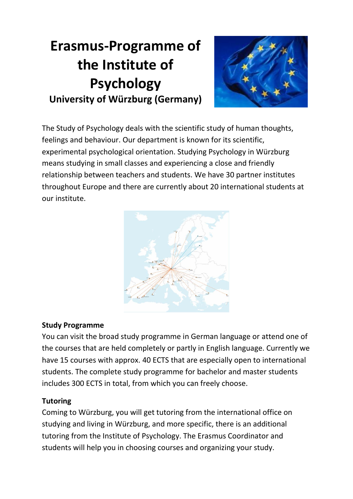# **Erasmus-Programme of the Institute of Psychology University of Würzburg (Germany)**



The Study of Psychology deals with the scientific study of human thoughts, feelings and behaviour. Our department is known for its scientific, experimental psychological orientation. Studying Psychology in Würzburg means studying in small classes and experiencing a close and friendly relationship between teachers and students. We have 30 partner institutes throughout Europe and there are currently about 20 international students at our institute.



## **Study Programme**

You can visit the broad study programme in German language or attend one of the courses that are held completely or partly in English language. Currently we have 15 courses with approx. 40 ECTS that are especially open to international students. The complete study programme for bachelor and master students includes 300 ECTS in total, from which you can freely choose.

## **Tutoring**

Coming to Würzburg, you will get tutoring from the international office on studying and living in Würzburg, and more specific, there is an additional tutoring from the Institute of Psychology. The Erasmus Coordinator and students will help you in choosing courses and organizing your study.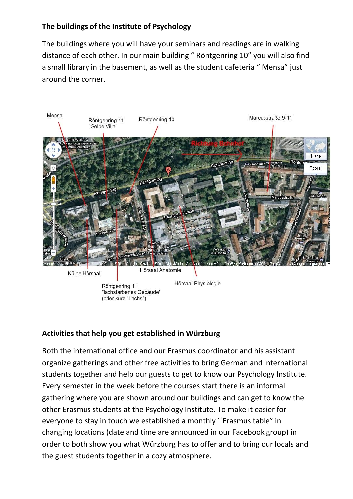## **The buildings of the Institute of Psychology**

The buildings where you will have your seminars and readings are in walking distance of each other. In our main building " Röntgenring 10" you will also find a small library in the basement, as well as the student cafeteria " Mensa" just around the corner.



Külpe Hörsaal

Hörsaal Anatomie

Röntgenring 11 "lachsfarbenes Gebäude" (oder kurz "Lachs")

Hörsaal Physiologie

#### **Activities that help you get established in Würzburg**

Both the international office and our Erasmus coordinator and his assistant organize gatherings and other free activities to bring German and international students together and help our guests to get to know our Psychology Institute. Every semester in the week before the courses start there is an informal gathering where you are shown around our buildings and can get to know the other Erasmus students at the Psychology Institute. To make it easier for everyone to stay in touch we established a monthly ´´Erasmus table" in changing locations (date and time are announced in our Facebook group) in order to both show you what Würzburg has to offer and to bring our locals and the guest students together in a cozy atmosphere.